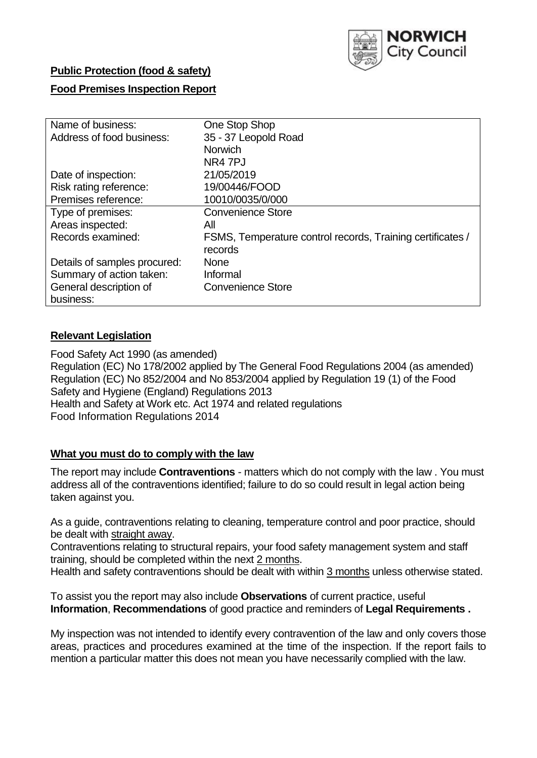

## **Public Protection (food & safety)**

## **Food Premises Inspection Report**

| Name of business:            | One Stop Shop                                              |
|------------------------------|------------------------------------------------------------|
| Address of food business:    | 35 - 37 Leopold Road                                       |
|                              | Norwich                                                    |
|                              | NR4 7PJ                                                    |
| Date of inspection:          | 21/05/2019                                                 |
| Risk rating reference:       | 19/00446/FOOD                                              |
| Premises reference:          | 10010/0035/0/000                                           |
| Type of premises:            | <b>Convenience Store</b>                                   |
| Areas inspected:             | All                                                        |
| Records examined:            | FSMS, Temperature control records, Training certificates / |
|                              | records                                                    |
| Details of samples procured: | <b>None</b>                                                |
| Summary of action taken:     | Informal                                                   |
| General description of       | <b>Convenience Store</b>                                   |
| business:                    |                                                            |

## **Relevant Legislation**

Food Safety Act 1990 (as amended) Regulation (EC) No 178/2002 applied by The General Food Regulations 2004 (as amended) Regulation (EC) No 852/2004 and No 853/2004 applied by Regulation 19 (1) of the Food Safety and Hygiene (England) Regulations 2013 Health and Safety at Work etc. Act 1974 and related regulations Food Information Regulations 2014

## **What you must do to comply with the law**

The report may include **Contraventions** - matters which do not comply with the law . You must address all of the contraventions identified; failure to do so could result in legal action being taken against you.

As a guide, contraventions relating to cleaning, temperature control and poor practice, should be dealt with straight away.

Contraventions relating to structural repairs, your food safety management system and staff training, should be completed within the next 2 months.

Health and safety contraventions should be dealt with within 3 months unless otherwise stated.

To assist you the report may also include **Observations** of current practice, useful **Information**, **Recommendations** of good practice and reminders of **Legal Requirements .**

My inspection was not intended to identify every contravention of the law and only covers those areas, practices and procedures examined at the time of the inspection. If the report fails to mention a particular matter this does not mean you have necessarily complied with the law.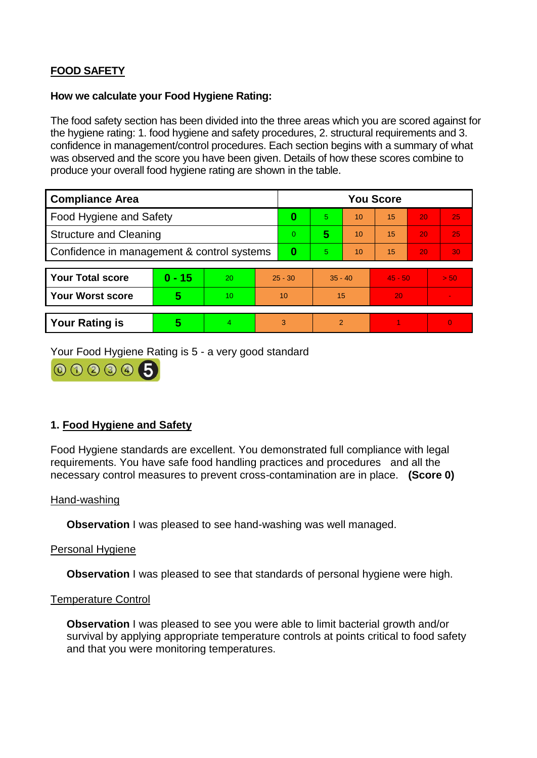# **FOOD SAFETY**

### **How we calculate your Food Hygiene Rating:**

The food safety section has been divided into the three areas which you are scored against for the hygiene rating: 1. food hygiene and safety procedures, 2. structural requirements and 3. confidence in management/control procedures. Each section begins with a summary of what was observed and the score you have been given. Details of how these scores combine to produce your overall food hygiene rating are shown in the table.

| <b>Compliance Area</b>                     |          |    |                | <b>You Score</b> |                |    |           |    |                |  |  |
|--------------------------------------------|----------|----|----------------|------------------|----------------|----|-----------|----|----------------|--|--|
| Food Hygiene and Safety                    |          |    |                | 0                | 5.             | 10 | 15        | 20 | 25             |  |  |
| <b>Structure and Cleaning</b>              |          |    | $\overline{0}$ | 5                | 10             | 15 | 20        | 25 |                |  |  |
| Confidence in management & control systems |          |    | 0              | 5                | 10             | 15 | 20        | 30 |                |  |  |
|                                            |          |    |                |                  |                |    |           |    |                |  |  |
| <b>Your Total score</b>                    | $0 - 15$ | 20 | $25 - 30$      |                  | $35 - 40$      |    | $45 - 50$ |    | > 50           |  |  |
| <b>Your Worst score</b>                    | 5        | 10 | 10             |                  | 15             |    | 20        |    | $\blacksquare$ |  |  |
|                                            |          |    |                |                  |                |    |           |    |                |  |  |
| <b>Your Rating is</b>                      | 5        | 4  | 3              |                  | $\overline{2}$ |    |           |    | $\Omega$       |  |  |

Your Food Hygiene Rating is 5 - a very good standard



## **1. Food Hygiene and Safety**

Food Hygiene standards are excellent. You demonstrated full compliance with legal requirements. You have safe food handling practices and procedures and all the necessary control measures to prevent cross-contamination are in place. **(Score 0)**

#### Hand-washing

**Observation** I was pleased to see hand-washing was well managed.

## Personal Hygiene

**Observation** I was pleased to see that standards of personal hygiene were high.

#### Temperature Control

**Observation** I was pleased to see you were able to limit bacterial growth and/or survival by applying appropriate temperature controls at points critical to food safety and that you were monitoring temperatures.